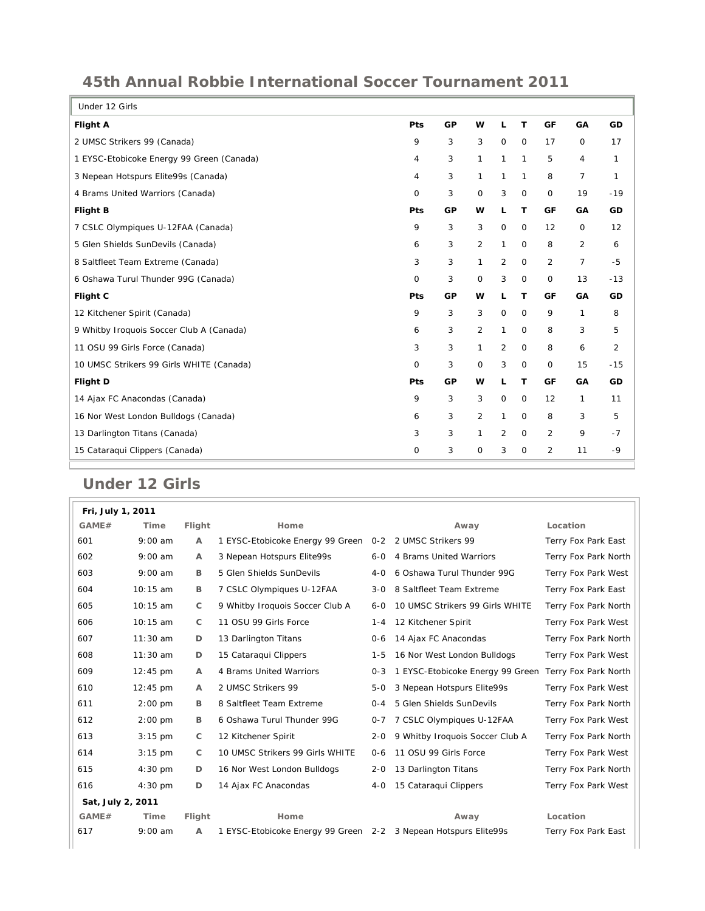## **45th Annual Robbie International Soccer Tournament 2011**

| Under 12 Girls                            |             |    |                |                |              |                |                |                |
|-------------------------------------------|-------------|----|----------------|----------------|--------------|----------------|----------------|----------------|
| <b>Flight A</b>                           | Pts         | GP | W              | L              | T            | GF             | GA             | GD             |
| 2 UMSC Strikers 99 (Canada)               | 9           | 3  | 3              | $\mathbf 0$    | $\circ$      | 17             | 0              | 17             |
| 1 EYSC-Etobicoke Energy 99 Green (Canada) | 4           | 3  | 1              | $\mathbf{1}$   | $\mathbf{1}$ | 5              | 4              | 1              |
| 3 Nepean Hotspurs Elite99s (Canada)       | 4           | 3  | $\mathbf{1}$   | 1              | 1            | 8              | $\overline{7}$ | 1              |
| 4 Brams United Warriors (Canada)          | $\mathbf 0$ | 3  | 0              | 3              | $\mathbf 0$  | 0              | 19             | $-19$          |
| Flight B                                  | Pts         | GP | w              | L              | т            | GF             | GA             | GD             |
| 7 CSLC Olympiques U-12FAA (Canada)        | 9           | 3  | 3              | $\mathbf 0$    | $\circ$      | 12             | 0              | 12             |
| 5 Glen Shields SunDevils (Canada)         | 6           | 3  | $\overline{2}$ | $\mathbf{1}$   | $\circ$      | 8              | $\overline{2}$ | 6              |
| 8 Saltfleet Team Extreme (Canada)         | 3           | 3  | $\mathbf{1}$   | 2              | $\mathbf 0$  | 2              | $\overline{7}$ | -5             |
| 6 Oshawa Turul Thunder 99G (Canada)       | 0           | 3  | 0              | 3              | $\mathsf{O}$ | 0              | 13             | $-13$          |
|                                           |             |    |                |                |              |                |                |                |
| Flight C                                  | Pts         | GP | w              | L              | T            | GF             | GA             | GD             |
| 12 Kitchener Spirit (Canada)              | 9           | 3  | 3              | $\mathbf 0$    | $\mathbf 0$  | 9              | 1              | 8              |
| 9 Whitby Iroquois Soccer Club A (Canada)  | 6           | 3  | 2              | $\mathbf{1}$   | $\circ$      | 8              | 3              | 5              |
| 11 OSU 99 Girls Force (Canada)            | 3           | 3  | 1              | $\overline{2}$ | $\mathbf 0$  | 8              | 6              | $\overline{2}$ |
| 10 UMSC Strikers 99 Girls WHITE (Canada)  | $\mathbf 0$ | 3  | $\mathbf 0$    | 3              | $\mathbf 0$  | $\mathbf 0$    | 15             | $-15$          |
| Flight D                                  | Pts         | GP | w              | L              | T            | GF             | GA             | GD             |
| 14 Ajax FC Anacondas (Canada)             | 9           | 3  | 3              | 0              | $\mathbf 0$  | 12             | 1              | 11             |
| 16 Nor West London Bulldogs (Canada)      | 6           | 3  | 2              | 1              | $\circ$      | 8              | 3              | 5              |
| 13 Darlington Titans (Canada)             | 3           | 3  | 1              | $\overline{2}$ | $\mathbf 0$  | 2              | 9              | $-7$           |
| 15 Cataraqui Clippers (Canada)            | $\mathbf 0$ | 3  | 0              | 3              | $\mathbf 0$  | $\overline{2}$ | 11             | $-9$           |

## **Under 12 Girls**

| Fri, July 1, 2011 |                    |                |                                                                 |         |                                  |                      |
|-------------------|--------------------|----------------|-----------------------------------------------------------------|---------|----------------------------------|----------------------|
| GAME#             | Time               | Flight         | Home                                                            |         | Away                             | Location             |
| 601               | $9:00$ am          | $\overline{A}$ | 1 EYSC-Etobicoke Energy 99 Green                                |         | 0-2 2 UMSC Strikers 99           | Terry Fox Park East  |
| 602               | $9:00$ am          | A              | 3 Nepean Hotspurs Elite99s                                      | $6 - 0$ | 4 Brams United Warriors          | Terry Fox Park North |
| 603               | $9:00$ am          | B              | 5 Glen Shields SunDevils                                        | $4-0$   | 6 Oshawa Turul Thunder 99G       | Terry Fox Park West  |
| 604               | 10:15 am           | B              | 7 CSLC Olympiques U-12FAA                                       | $3 - 0$ | 8 Saltfleet Team Extreme         | Terry Fox Park East  |
| 605               | 10:15 am           | C              | 9 Whitby Iroquois Soccer Club A                                 | $6 - 0$ | 10 UMSC Strikers 99 Girls WHITE  | Terry Fox Park North |
| 606               | 10:15 am           | C              | 11 OSU 99 Girls Force                                           | $1 - 4$ | 12 Kitchener Spirit              | Terry Fox Park West  |
| 607               | $11:30$ am         | D              | 13 Darlington Titans                                            | $0 - 6$ | 14 Ajax FC Anacondas             | Terry Fox Park North |
| 608               | 11:30 am           | D              | 15 Cataraqui Clippers                                           | $1 - 5$ | 16 Nor West London Bulldogs      | Terry Fox Park West  |
| 609               | $12:45$ pm         | A              | 4 Brams United Warriors                                         | $0 - 3$ | 1 EYSC-Etobicoke Energy 99 Green | Terry Fox Park North |
| 610               | $12:45 \text{ pm}$ | $\overline{A}$ | 2 UMSC Strikers 99                                              | $5 - 0$ | 3 Nepean Hotspurs Elite99s       | Terry Fox Park West  |
| 611               | $2:00$ pm          | B              | 8 Saltfleet Team Extreme                                        | $0 - 4$ | 5 Glen Shields SunDevils         | Terry Fox Park North |
| 612               | $2:00$ pm          | B              | 6 Oshawa Turul Thunder 99G                                      | $0 - 7$ | 7 CSLC Olympiques U-12FAA        | Terry Fox Park West  |
| 613               | $3:15$ pm          | C              | 12 Kitchener Spirit                                             | $2 - 0$ | 9 Whitby Iroquois Soccer Club A  | Terry Fox Park North |
| 614               | $3:15$ pm          | C              | 10 UMSC Strikers 99 Girls WHITE                                 | $0 - 6$ | 11 OSU 99 Girls Force            | Terry Fox Park West  |
| 615               | $4:30$ pm          | D              | 16 Nor West London Bulldogs                                     | $2 - 0$ | 13 Darlington Titans             | Terry Fox Park North |
| 616               | $4:30$ pm          | D              | 14 Ajax FC Anacondas                                            | $4 - 0$ | 15 Cataragui Clippers            | Terry Fox Park West  |
| Sat, July 2, 2011 |                    |                |                                                                 |         |                                  |                      |
| GAME#             | Time               | Flight         | Home                                                            |         | Away                             | Location             |
| 617               | $9:00$ am          | A              | 1 EYSC-Etobicoke Energy 99 Green 2-2 3 Nepean Hotspurs Elite99s |         |                                  | Terry Fox Park East  |